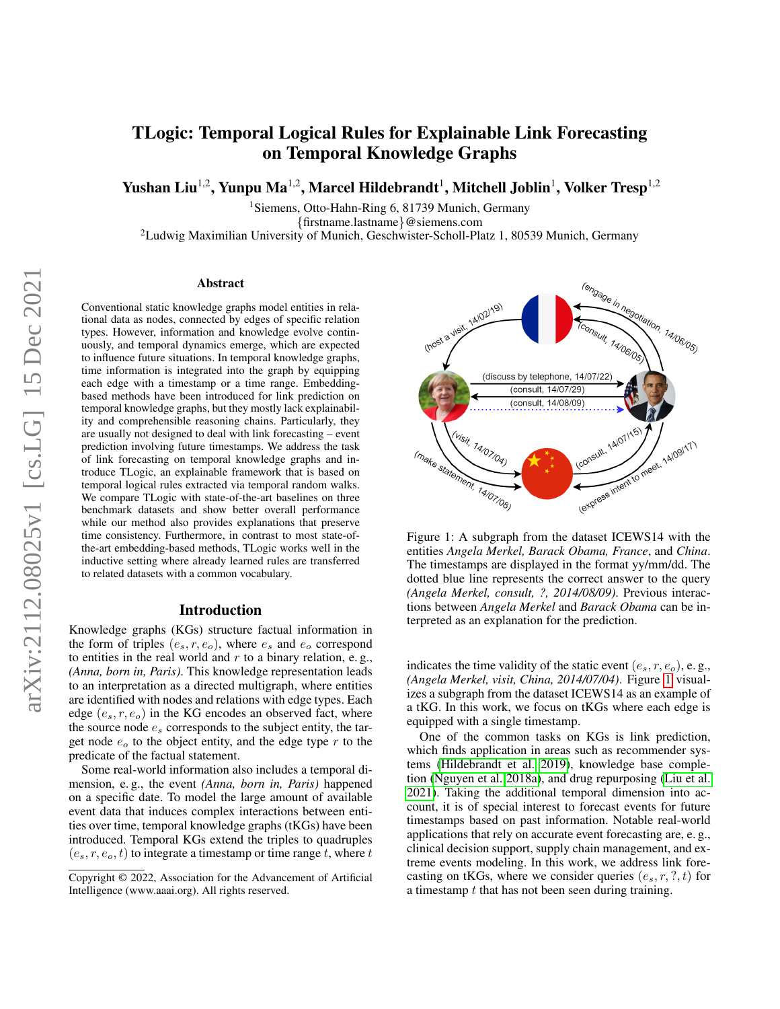# TLogic: Temporal Logical Rules for Explainable Link Forecasting on Temporal Knowledge Graphs

Yushan Liu $^{1,2}$ , Yunpu Ma $^{1,2}$ , Marcel Hildebrandt $^{1}$ , Mitchell Joblin $^{1}$ , Volker Tresp $^{1,2}$ 

<sup>1</sup>Siemens, Otto-Hahn-Ring 6, 81739 Munich, Germany {firstname.lastname}@siemens.com

<sup>2</sup>Ludwig Maximilian University of Munich, Geschwister-Scholl-Platz 1, 80539 Munich, Germany

#### Abstract

Conventional static knowledge graphs model entities in relational data as nodes, connected by edges of specific relation types. However, information and knowledge evolve continuously, and temporal dynamics emerge, which are expected to influence future situations. In temporal knowledge graphs, time information is integrated into the graph by equipping each edge with a timestamp or a time range. Embeddingbased methods have been introduced for link prediction on temporal knowledge graphs, but they mostly lack explainability and comprehensible reasoning chains. Particularly, they are usually not designed to deal with link forecasting – event prediction involving future timestamps. We address the task of link forecasting on temporal knowledge graphs and introduce TLogic, an explainable framework that is based on temporal logical rules extracted via temporal random walks. We compare TLogic with state-of-the-art baselines on three benchmark datasets and show better overall performance while our method also provides explanations that preserve time consistency. Furthermore, in contrast to most state-ofthe-art embedding-based methods, TLogic works well in the inductive setting where already learned rules are transferred to related datasets with a common vocabulary.

## Introduction

Knowledge graphs (KGs) structure factual information in the form of triples  $(e_s, r, e_o)$ , where  $e_s$  and  $e_o$  correspond to entities in the real world and  $r$  to a binary relation, e.g., *(Anna, born in, Paris)*. This knowledge representation leads to an interpretation as a directed multigraph, where entities are identified with nodes and relations with edge types. Each edge  $(e_s, r, e_o)$  in the KG encodes an observed fact, where the source node  $e_s$  corresponds to the subject entity, the target node  $e_0$  to the object entity, and the edge type  $r$  to the predicate of the factual statement.

Some real-world information also includes a temporal dimension, e. g., the event *(Anna, born in, Paris)* happened on a specific date. To model the large amount of available event data that induces complex interactions between entities over time, temporal knowledge graphs (tKGs) have been introduced. Temporal KGs extend the triples to quadruples  $(e_s, r, e_o, t)$  to integrate a timestamp or time range t, where t

<span id="page-0-0"></span>

Figure 1: A subgraph from the dataset ICEWS14 with the entities *Angela Merkel, Barack Obama, France*, and *China*. The timestamps are displayed in the format yy/mm/dd. The dotted blue line represents the correct answer to the query *(Angela Merkel, consult, ?, 2014/08/09)*. Previous interactions between *Angela Merkel* and *Barack Obama* can be interpreted as an explanation for the prediction.

indicates the time validity of the static event  $(e_s, r, e_o)$ , e.g., *(Angela Merkel, visit, China, 2014/07/04)*. Figure [1](#page-0-0) visualizes a subgraph from the dataset ICEWS14 as an example of a tKG. In this work, we focus on tKGs where each edge is equipped with a single timestamp.

One of the common tasks on KGs is link prediction, which finds application in areas such as recommender systems [\(Hildebrandt et al. 2019\)](#page-7-0), knowledge base completion [\(Nguyen et al. 2018a\)](#page-7-1), and drug repurposing [\(Liu et al.](#page-7-2) [2021\)](#page-7-2). Taking the additional temporal dimension into account, it is of special interest to forecast events for future timestamps based on past information. Notable real-world applications that rely on accurate event forecasting are, e. g., clinical decision support, supply chain management, and extreme events modeling. In this work, we address link forecasting on tKGs, where we consider queries  $(e_s, r, ?, t)$  for a timestamp t that has not been seen during training.

Copyright © 2022, Association for the Advancement of Artificial Intelligence (www.aaai.org). All rights reserved.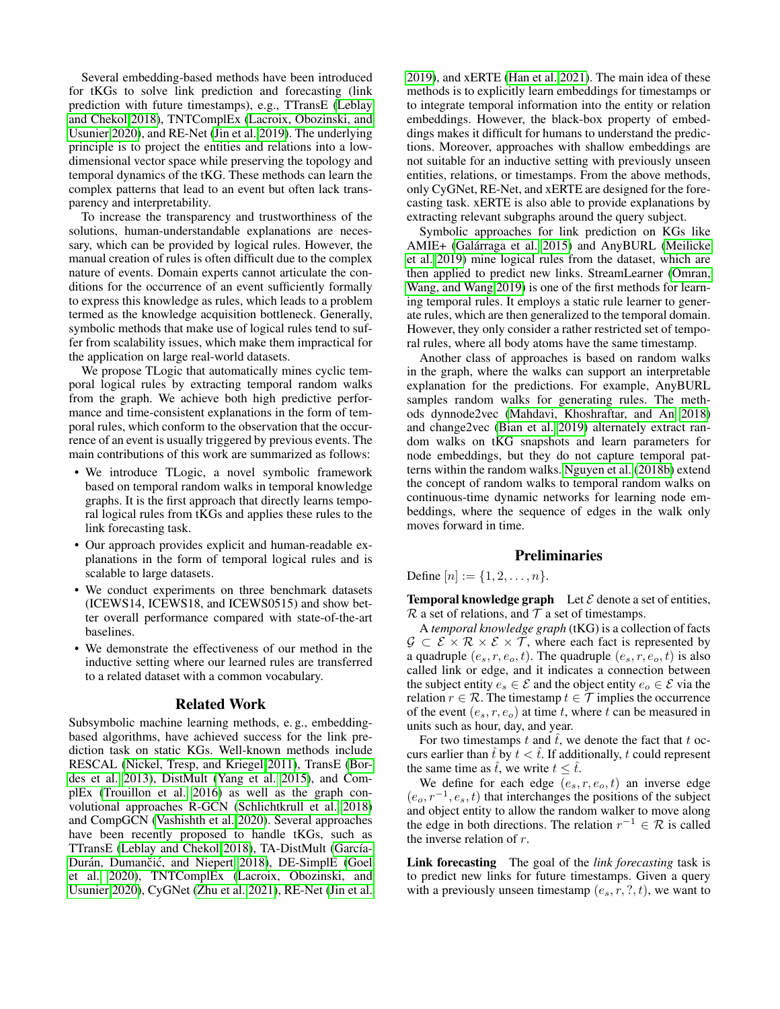Several embedding-based methods have been introduced for tKGs to solve link prediction and forecasting (link prediction with future timestamps), e.g., TTransE [\(Leblay](#page-7-3) [and Chekol 2018\)](#page-7-3), TNTComplEx [\(Lacroix, Obozinski, and](#page-7-4) [Usunier 2020\)](#page-7-4), and RE-Net [\(Jin et al. 2019\)](#page-7-5). The underlying principle is to project the entities and relations into a lowdimensional vector space while preserving the topology and temporal dynamics of the tKG. These methods can learn the complex patterns that lead to an event but often lack transparency and interpretability.

To increase the transparency and trustworthiness of the solutions, human-understandable explanations are necessary, which can be provided by logical rules. However, the manual creation of rules is often difficult due to the complex nature of events. Domain experts cannot articulate the conditions for the occurrence of an event sufficiently formally to express this knowledge as rules, which leads to a problem termed as the knowledge acquisition bottleneck. Generally, symbolic methods that make use of logical rules tend to suffer from scalability issues, which make them impractical for the application on large real-world datasets.

We propose TLogic that automatically mines cyclic temporal logical rules by extracting temporal random walks from the graph. We achieve both high predictive performance and time-consistent explanations in the form of temporal rules, which conform to the observation that the occurrence of an event is usually triggered by previous events. The main contributions of this work are summarized as follows:

- We introduce TLogic, a novel symbolic framework based on temporal random walks in temporal knowledge graphs. It is the first approach that directly learns temporal logical rules from tKGs and applies these rules to the link forecasting task.
- Our approach provides explicit and human-readable explanations in the form of temporal logical rules and is scalable to large datasets.
- We conduct experiments on three benchmark datasets (ICEWS14, ICEWS18, and ICEWS0515) and show better overall performance compared with state-of-the-art baselines.
- We demonstrate the effectiveness of our method in the inductive setting where our learned rules are transferred to a related dataset with a common vocabulary.

## Related Work

Subsymbolic machine learning methods, e. g., embeddingbased algorithms, have achieved success for the link prediction task on static KGs. Well-known methods include RESCAL [\(Nickel, Tresp, and Kriegel 2011\)](#page-7-6), TransE [\(Bor](#page-7-7)[des et al. 2013\)](#page-7-7), DistMult [\(Yang et al. 2015\)](#page-7-8), and ComplEx [\(Trouillon et al. 2016\)](#page-7-9) as well as the graph convolutional approaches R-GCN [\(Schlichtkrull et al. 2018\)](#page-7-10) and CompGCN [\(Vashishth et al. 2020\)](#page-7-11). Several approaches have been recently proposed to handle tKGs, such as TTransE [\(Leblay and Chekol 2018\)](#page-7-3), TA-DistMult (García-Durán, Dumančić, and Niepert [2018\)](#page-7-12), DE-SimplE [\(Goel](#page-7-13) [et al. 2020\)](#page-7-13), TNTComplEx [\(Lacroix, Obozinski, and](#page-7-4) [Usunier 2020\)](#page-7-4), CyGNet [\(Zhu et al. 2021\)](#page-7-14), RE-Net [\(Jin et al.](#page-7-5)

[2019\)](#page-7-5), and xERTE [\(Han et al. 2021\)](#page-7-15). The main idea of these methods is to explicitly learn embeddings for timestamps or to integrate temporal information into the entity or relation embeddings. However, the black-box property of embeddings makes it difficult for humans to understand the predictions. Moreover, approaches with shallow embeddings are not suitable for an inductive setting with previously unseen entities, relations, or timestamps. From the above methods, only CyGNet, RE-Net, and xERTE are designed for the forecasting task. xERTE is also able to provide explanations by extracting relevant subgraphs around the query subject.

Symbolic approaches for link prediction on KGs like AMIE+ (Galárraga et al. 2015) and AnyBURL [\(Meilicke](#page-7-17) [et al. 2019\)](#page-7-17) mine logical rules from the dataset, which are then applied to predict new links. StreamLearner [\(Omran,](#page-7-18) [Wang, and Wang 2019\)](#page-7-18) is one of the first methods for learning temporal rules. It employs a static rule learner to generate rules, which are then generalized to the temporal domain. However, they only consider a rather restricted set of temporal rules, where all body atoms have the same timestamp.

Another class of approaches is based on random walks in the graph, where the walks can support an interpretable explanation for the predictions. For example, AnyBURL samples random walks for generating rules. The methods dynnode2vec [\(Mahdavi, Khoshraftar, and An 2018\)](#page-7-19) and change2vec [\(Bian et al. 2019\)](#page-7-20) alternately extract random walks on tKG snapshots and learn parameters for node embeddings, but they do not capture temporal patterns within the random walks. [Nguyen et al.](#page-7-21) [\(2018b\)](#page-7-21) extend the concept of random walks to temporal random walks on continuous-time dynamic networks for learning node embeddings, where the sequence of edges in the walk only moves forward in time.

### **Preliminaries**

Define  $[n] := \{1, 2, \ldots, n\}.$ 

**Temporal knowledge graph** Let  $\mathcal E$  denote a set of entities,  $\mathcal R$  a set of relations, and  $\mathcal T$  a set of timestamps.

A *temporal knowledge graph* (tKG) is a collection of facts  $\mathcal{G} \subset \mathcal{E} \times \mathcal{R} \times \mathcal{E} \times \mathcal{T}$ , where each fact is represented by a quadruple  $(e_s, r, e_o, t)$ . The quadruple  $(e_s, r, e_o, t)$  is also called link or edge, and it indicates a connection between the subject entity  $e_s \in \mathcal{E}$  and the object entity  $e_o \in \mathcal{E}$  via the relation  $r \in \mathcal{R}$ . The timestamp  $t \in \mathcal{T}$  implies the occurrence of the event  $(e_s, r, e_o)$  at time t, where t can be measured in units such as hour, day, and year.

For two timestamps t and  $\hat{t}$ , we denote the fact that t occurs earlier than  $\hat{t}$  by  $t < \hat{t}$ . If additionally, t could represent the same time as  $\hat{t}$ , we write  $t \leq \hat{t}$ .

We define for each edge  $(e_s, r, e_o, t)$  an inverse edge  $(e_o, r^{-1}, e_s, t)$  that interchanges the positions of the subject and object entity to allow the random walker to move along the edge in both directions. The relation  $r^{-1} \in \mathcal{R}$  is called the inverse relation of r.

Link forecasting The goal of the *link forecasting* task is to predict new links for future timestamps. Given a query with a previously unseen timestamp  $(e_s, r, ?, t)$ , we want to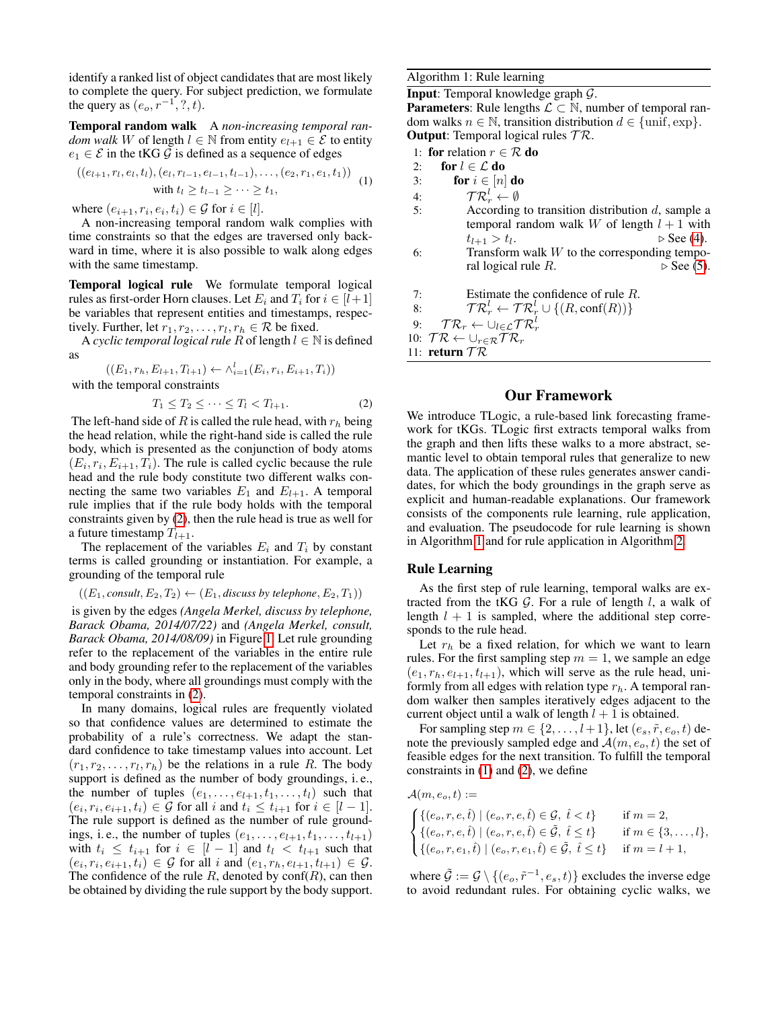identify a ranked list of object candidates that are most likely to complete the query. For subject prediction, we formulate the query as  $(e_o, r^{-1}, ?, t)$ .

Temporal random walk A *non-increasing temporal random walk* W of length  $l \in \mathbb{N}$  from entity  $e_{l+1} \in \mathcal{E}$  to entity  $e_1 \in \mathcal{E}$  in the tKG  $\mathcal{G}$  is defined as a sequence of edges

$$
((e_{l+1}, r_l, e_l, t_l), (e_l, r_{l-1}, e_{l-1}, t_{l-1}), \dots, (e_2, r_1, e_1, t_1))
$$
  
with  $t_l \ge t_{l-1} \ge \cdots \ge t_1$ , (1)

where  $(e_{i+1}, r_i, e_i, t_i) \in \mathcal{G}$  for  $i \in [l]$ .

A non-increasing temporal random walk complies with time constraints so that the edges are traversed only backward in time, where it is also possible to walk along edges with the same timestamp.

Temporal logical rule We formulate temporal logical rules as first-order Horn clauses. Let  $E_i$  and  $T_i$  for  $i \in [l+1]$ be variables that represent entities and timestamps, respectively. Further, let  $r_1, r_2, \ldots, r_l, r_h \in \mathcal{R}$  be fixed.

A *cyclic temporal logical rule* R of length  $l \in \mathbb{N}$  is defined as

$$
\mathcal{L}^{\mathcal{L}}(\mathcal{L})
$$

 $((E_1, r_h, E_{l+1}, T_{l+1}) \leftarrow \wedge_{i=1}^l (E_i, r_i, E_{i+1}, T_i))$ with the temporal constraints

<span id="page-2-0"></span>
$$
T_1 \leq T_2 \leq \cdots \leq T_l < T_{l+1}.\tag{2}
$$

The left-hand side of R is called the rule head, with  $r_h$  being the head relation, while the right-hand side is called the rule body, which is presented as the conjunction of body atoms  $(E_i, r_i, E_{i+1}, T_i)$ . The rule is called cyclic because the rule head and the rule body constitute two different walks connecting the same two variables  $E_1$  and  $E_{l+1}$ . A temporal rule implies that if the rule body holds with the temporal constraints given by [\(2\)](#page-2-0), then the rule head is true as well for a future timestamp  $T_{l+1}$ .

The replacement of the variables  $E_i$  and  $T_i$  by constant terms is called grounding or instantiation. For example, a grounding of the temporal rule

 $((E_1, \text{const}, E_2, T_2) \leftarrow (E_1, \text{discuss by telephone}, E_2, T_1))$ 

is given by the edges *(Angela Merkel, discuss by telephone, Barack Obama, 2014/07/22)* and *(Angela Merkel, consult, Barack Obama, 2014/08/09)* in Figure [1.](#page-0-0) Let rule grounding refer to the replacement of the variables in the entire rule and body grounding refer to the replacement of the variables only in the body, where all groundings must comply with the temporal constraints in [\(2\)](#page-2-0).

In many domains, logical rules are frequently violated so that confidence values are determined to estimate the probability of a rule's correctness. We adapt the standard confidence to take timestamp values into account. Let  $(r_1, r_2, \ldots, r_l, r_h)$  be the relations in a rule R. The body support is defined as the number of body groundings, i. e., the number of tuples  $(e_1, \ldots, e_{l+1}, t_1, \ldots, t_l)$  such that  $(e_i, r_i, e_{i+1}, t_i) \in \mathcal{G}$  for all i and  $t_i \leq t_{i+1}$  for  $i \in [l-1]$ . The rule support is defined as the number of rule groundings, i.e., the number of tuples  $(e_1, \ldots, e_{l+1}, t_1, \ldots, t_{l+1})$ with  $t_i \leq t_{i+1}$  for  $i \in [l-1]$  and  $t_l \leq t_{l+1}$  such that  $(e_i, r_i, e_{i+1}, t_i) \in \mathcal{G}$  for all i and  $(e_1, r_h, e_{l+1}, t_{l+1}) \in \mathcal{G}$ . The confidence of the rule  $R$ , denoted by  $conf(R)$ , can then be obtained by dividing the rule support by the body support. <span id="page-2-1"></span>Algorithm 1: Rule learning

**Input:** Temporal knowledge graph  $\mathcal{G}$ .

**Parameters:** Rule lengths  $\mathcal{L} \subset \mathbb{N}$ , number of temporal random walks  $n \in \mathbb{N}$ , transition distribution  $d \in \{\text{unif}, \text{exp}\}.$ **Output:** Temporal logical rules  $TR$ .

- 1: for relation  $r \in \mathcal{R}$  do
- <span id="page-2-2"></span>2: for  $l \in \mathcal{L}$  do
- 3: for  $i \in [n]$  do
- 4:  $\qquad \qquad \mathcal{T}\mathcal{R}_r^l \leftarrow \emptyset$
- 5: According to transition distribution  $d$ , sample a temporal random walk W of length  $l + 1$  with  $t_{l+1} > t_l.$  $\triangleright$  See [\(4\)](#page-3-0). 6: Transform walk  $W$  to the corresponding tempo-
- ral logical rule R.  $\triangleright$  See [\(5\)](#page-3-1).

7: Estimate the confidence of rule 
$$
R
$$
.

8:  $\mathcal{TR}^l_r \leftarrow \mathcal{TR}^l_r \cup \{(R, \text{conf}(R))\}$ 

9: T $\mathcal{R}_r \leftarrow \cup_{l \in \mathcal{L}} \mathcal{T} \mathcal{R}_r^l$ 

10:  $TR \leftarrow \cup_{r \in \mathcal{R}} TR_r$ 

11: return  $TR$ 

# Our Framework

We introduce TLogic, a rule-based link forecasting framework for tKGs. TLogic first extracts temporal walks from the graph and then lifts these walks to a more abstract, semantic level to obtain temporal rules that generalize to new data. The application of these rules generates answer candidates, for which the body groundings in the graph serve as explicit and human-readable explanations. Our framework consists of the components rule learning, rule application, and evaluation. The pseudocode for rule learning is shown in Algorithm [1](#page-2-1) and for rule application in Algorithm [2.](#page-3-2)

### Rule Learning

As the first step of rule learning, temporal walks are extracted from the tKG  $G$ . For a rule of length  $l$ , a walk of length  $l + 1$  is sampled, where the additional step corresponds to the rule head.

Let  $r_h$  be a fixed relation, for which we want to learn rules. For the first sampling step  $m = 1$ , we sample an edge  $(e_1, r_h, e_{l+1}, t_{l+1})$ , which will serve as the rule head, uniformly from all edges with relation type  $r_h$ . A temporal random walker then samples iteratively edges adjacent to the current object until a walk of length  $l + 1$  is obtained.

For sampling step  $m \in \{2, \ldots, l+1\}$ , let  $(e_s, \tilde{r}, e_o, t)$  denote the previously sampled edge and  $\mathcal{A}(m, e_{o}, t)$  the set of feasible edges for the next transition. To fulfill the temporal constraints in [\(1\)](#page-2-2) and [\(2\)](#page-2-0), we define

$$
\mathcal{A}(m, e_o, t) :=
$$
\n
$$
\begin{cases}\n\{(e_o, r, e, \hat{t}) \mid (e_o, r, e, \hat{t}) \in \mathcal{G}, \ \hat{t} < t\} & \text{if } m = 2, \\
\{(e_o, r, e, \hat{t}) \mid (e_o, r, e, \hat{t}) \in \tilde{\mathcal{G}}, \ \hat{t} \le t\} & \text{if } m \in \{3, \ldots, l\}, \\
\{(e_o, r, e_1, \hat{t}) \mid (e_o, r, e_1, \hat{t}) \in \tilde{\mathcal{G}}, \ \hat{t} \le t\} & \text{if } m = l + 1,\n\end{cases}
$$

where  $\tilde{\mathcal{G}} := \mathcal{G} \setminus \{ (e_o, \tilde{r}^{-1}, e_s, t) \}$  excludes the inverse edge to avoid redundant rules. For obtaining cyclic walks, we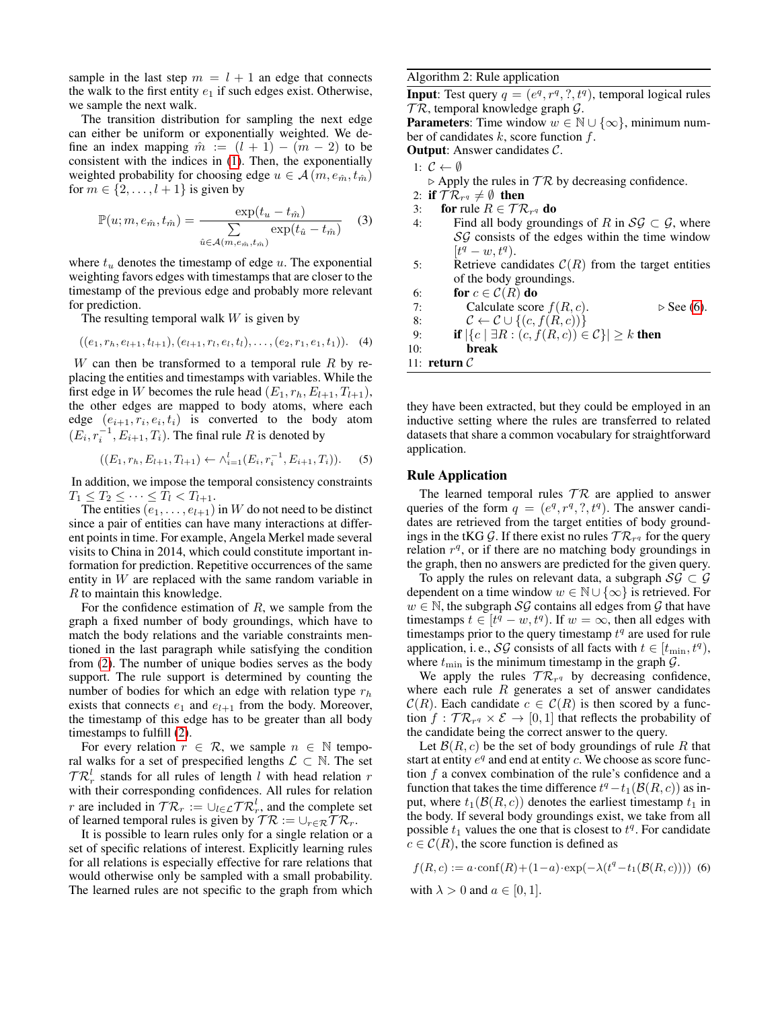sample in the last step  $m = l + 1$  an edge that connects the walk to the first entity  $e_1$  if such edges exist. Otherwise, we sample the next walk.

The transition distribution for sampling the next edge can either be uniform or exponentially weighted. We define an index mapping  $\hat{m} := (l + 1) - (m - 2)$  to be consistent with the indices in [\(1\)](#page-2-2). Then, the exponentially weighted probability for choosing edge  $u \in \mathcal{A}(m, e_{\hat{m}}, t_{\hat{m}})$ for  $m \in \{2, \ldots, l + 1\}$  is given by

<span id="page-3-4"></span>
$$
\mathbb{P}(u; m, e_{\hat{m}}, t_{\hat{m}}) = \frac{\exp(t_u - t_{\hat{m}})}{\sum_{\hat{u} \in \mathcal{A}(m, e_{\hat{m}}, t_{\hat{m}})} \exp(t_{\hat{u}} - t_{\hat{m}})}
$$
(3)

where  $t<sub>u</sub>$  denotes the timestamp of edge  $u$ . The exponential weighting favors edges with timestamps that are closer to the timestamp of the previous edge and probably more relevant for prediction.

The resulting temporal walk  $W$  is given by

<span id="page-3-0"></span>
$$
((e_1, r_h, e_{l+1}, t_{l+1}), (e_{l+1}, r_l, e_l, t_l), \ldots, (e_2, r_1, e_1, t_1)).
$$
 (4)

 $W$  can then be transformed to a temporal rule  $R$  by replacing the entities and timestamps with variables. While the first edge in W becomes the rule head  $(E_1, r_h, E_{l+1}, T_{l+1}),$ the other edges are mapped to body atoms, where each edge  $(e_{i+1}, r_i, e_i, t_i)$  is converted to the body atom  $(E_i, r_i^{-1}, E_{i+1}, T_i)$ . The final rule R is denoted by

<span id="page-3-1"></span>
$$
((E_1, r_h, E_{l+1}, T_{l+1}) \leftarrow \wedge_{i=1}^l (E_i, r_i^{-1}, E_{i+1}, T_i)).
$$
 (5)

In addition, we impose the temporal consistency constraints  $T_1 \leq T_2 \leq \cdots \leq T_l < T_{l+1}.$ 

The entities  $(e_1, \ldots, e_{l+1})$  in W do not need to be distinct since a pair of entities can have many interactions at different points in time. For example, Angela Merkel made several visits to China in 2014, which could constitute important information for prediction. Repetitive occurrences of the same entity in  $W$  are replaced with the same random variable in R to maintain this knowledge.

For the confidence estimation of  $R$ , we sample from the graph a fixed number of body groundings, which have to match the body relations and the variable constraints mentioned in the last paragraph while satisfying the condition from [\(2\)](#page-2-0). The number of unique bodies serves as the body support. The rule support is determined by counting the number of bodies for which an edge with relation type  $r_h$ exists that connects  $e_1$  and  $e_{l+1}$  from the body. Moreover, the timestamp of this edge has to be greater than all body timestamps to fulfill [\(2\)](#page-2-0).

For every relation  $r \in \mathcal{R}$ , we sample  $n \in \mathbb{N}$  temporal walks for a set of prespecified lengths  $\mathcal{L} \subset \mathbb{N}$ . The set  $TR_r^l$  stands for all rules of length l with head relation r with their corresponding confidences. All rules for relation *r* are included in  $T\mathcal{R}_r := \bigcup_{l \in \mathcal{L}} T\mathcal{R}_r^l$ , and the complete set of learned temporal rules is given by  $TR := \cup_{r \in \mathcal{R}} TR_r$ .

It is possible to learn rules only for a single relation or a set of specific relations of interest. Explicitly learning rules for all relations is especially effective for rare relations that would otherwise only be sampled with a small probability. The learned rules are not specific to the graph from which

#### <span id="page-3-2"></span>Algorithm 2: Rule application

**Input**: Test query  $q = (e^q, r^q, ?, t^q)$ , temporal logical rules  $TR$ , temporal knowledge graph  $G$ .

**Parameters:** Time window  $w \in \mathbb{N} \cup \{\infty\}$ , minimum number of candidates  $k$ , score function  $f$ .

Output: Answer candidates C.

$$
1: \ \mathcal{C} \leftarrow \emptyset
$$

- $\triangleright$  Apply the rules in  $TR$  by decreasing confidence.
- 2: if  $\mathcal{TR}_{r^q}\neq\emptyset$  then
- 3: for rule  $R \in \mathcal{TR}_{r^q}$  do
- 4: Find all body groundings of R in  $\mathcal{SG} \subset \mathcal{G}$ , where  $SG$  consists of the edges within the time window  $[t^q - w, t^q)$ .
- 5: Retrieve candidates  $C(R)$  from the target entities of the body groundings.
- 6: for  $c \in \mathcal{C}(R)$  do
- 7: Calculate score  $f(R, c)$ .  $\triangleright$  See [\(6\)](#page-3-3).

8: 
$$
\mathcal{C} \leftarrow \mathcal{C} \cup \{(c, f(R, c))\}
$$

9: **if**  $|\{c \mid \exists R : (c, f(R, c)) \in C\}| \ge k$  then

10: break

```
11: return C
```
they have been extracted, but they could be employed in an inductive setting where the rules are transferred to related datasets that share a common vocabulary for straightforward application.

#### Rule Application

The learned temporal rules  $TR$  are applied to answer queries of the form  $q = (e^q, r^q, ?, t^q)$ . The answer candidates are retrieved from the target entities of body groundings in the tKG G. If there exist no rules  $\mathcal{TR}_{r^q}$  for the query relation  $r<sup>q</sup>$ , or if there are no matching body groundings in the graph, then no answers are predicted for the given query.

To apply the rules on relevant data, a subgraph  $\mathcal{SG} \subset \mathcal{G}$ dependent on a time window  $w \in \mathbb{N} \cup \{\infty\}$  is retrieved. For  $w \in \mathbb{N}$ , the subgraph SG contains all edges from G that have timestamps  $t \in [t^q - w, t^q)$ . If  $w = \infty$ , then all edges with timestamps prior to the query timestamp  $t<sup>q</sup>$  are used for rule application, i. e., *SG* consists of all facts with  $t \in [t_{\min}, t^q)$ , where  $t_{\min}$  is the minimum timestamp in the graph  $\mathcal{G}$ .

We apply the rules  $TR_{r^q}$  by decreasing confidence, where each rule  $R$  generates a set of answer candidates  $C(R)$ . Each candidate  $c \in C(R)$  is then scored by a function  $f: \mathcal{TR}_{r^q} \times \mathcal{E} \to [0,1]$  that reflects the probability of the candidate being the correct answer to the query.

Let  $\mathcal{B}(R, c)$  be the set of body groundings of rule R that start at entity  $e^q$  and end at entity c. We choose as score function  $f$  a convex combination of the rule's confidence and a function that takes the time difference  $t^q - t_1(\mathcal{B}(R, c))$  as input, where  $t_1(\mathcal{B}(R, c))$  denotes the earliest timestamp  $t_1$  in the body. If several body groundings exist, we take from all possible  $t_1$  values the one that is closest to  $t<sup>q</sup>$ . For candidate  $c \in \mathcal{C}(R)$ , the score function is defined as

<span id="page-3-3"></span>
$$
f(R, c) := a \cdot \text{conf}(R) + (1 - a) \cdot \exp(-\lambda(t^q - t_1(\mathcal{B}(R, c)))) \tag{6}
$$
  
with  $\lambda > 0$  and  $a \in [0, 1]$ .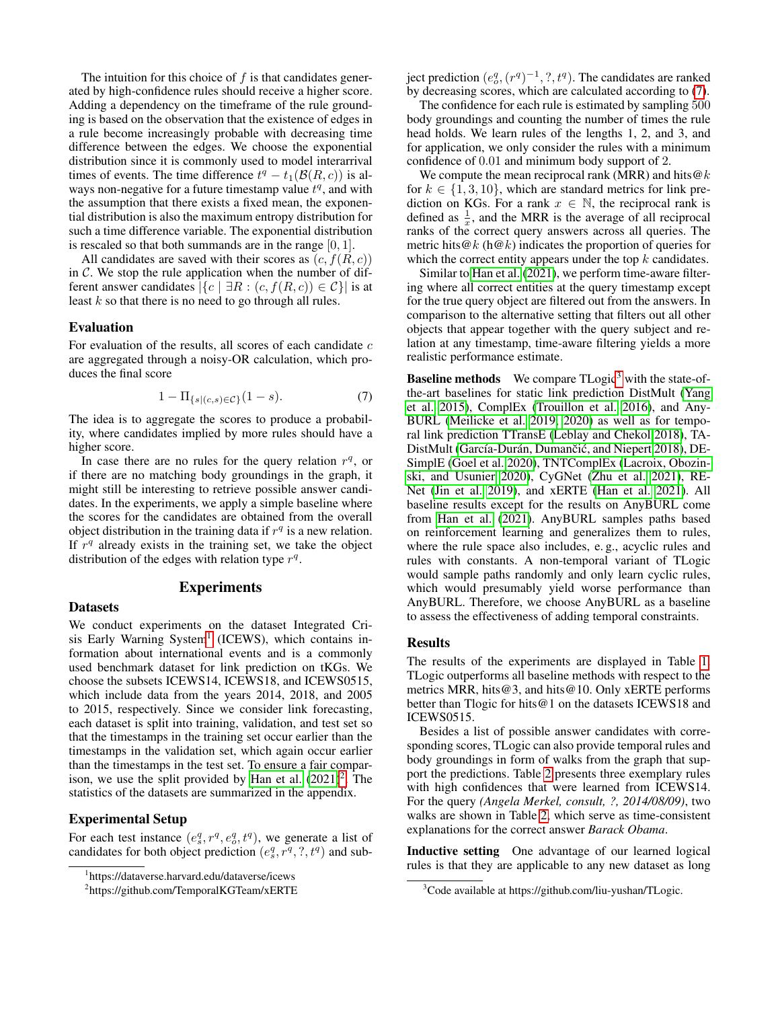The intuition for this choice of  $f$  is that candidates generated by high-confidence rules should receive a higher score. Adding a dependency on the timeframe of the rule grounding is based on the observation that the existence of edges in a rule become increasingly probable with decreasing time difference between the edges. We choose the exponential distribution since it is commonly used to model interarrival times of events. The time difference  $t^q - t_1(\mathcal{B}(R, c))$  is always non-negative for a future timestamp value  $t<sup>q</sup>$ , and with the assumption that there exists a fixed mean, the exponential distribution is also the maximum entropy distribution for such a time difference variable. The exponential distribution is rescaled so that both summands are in the range  $[0, 1]$ .

All candidates are saved with their scores as  $(c, f(R, c))$ in  $C$ . We stop the rule application when the number of different answer candidates  $|\{c \mid \exists R : (c, f(R, c)) \in C\}|$  is at least  $k$  so that there is no need to go through all rules.

#### Evaluation

For evaluation of the results, all scores of each candidate  $c$ are aggregated through a noisy-OR calculation, which produces the final score

<span id="page-4-2"></span>
$$
1 - \Pi_{\{s \mid (c,s) \in \mathcal{C}\}}(1 - s). \tag{7}
$$

The idea is to aggregate the scores to produce a probability, where candidates implied by more rules should have a higher score.

In case there are no rules for the query relation  $r<sup>q</sup>$ , or if there are no matching body groundings in the graph, it might still be interesting to retrieve possible answer candidates. In the experiments, we apply a simple baseline where the scores for the candidates are obtained from the overall object distribution in the training data if  $r<sup>q</sup>$  is a new relation. If  $r<sup>q</sup>$  already exists in the training set, we take the object distribution of the edges with relation type  $r<sup>q</sup>$ .

# Experiments

## Datasets

We conduct experiments on the dataset Integrated Cri-sis Early Warning System<sup>[1](#page-4-0)</sup> (ICEWS), which contains information about international events and is a commonly used benchmark dataset for link prediction on tKGs. We choose the subsets ICEWS14, ICEWS18, and ICEWS0515, which include data from the years 2014, 2018, and 2005 to 2015, respectively. Since we consider link forecasting, each dataset is split into training, validation, and test set so that the timestamps in the training set occur earlier than the timestamps in the validation set, which again occur earlier than the timestamps in the test set. To ensure a fair compar-ison, we use the split provided by [Han et al.](#page-7-15)  $(2021)^2$  $(2021)^2$  $(2021)^2$ . The statistics of the datasets are summarized in the appendix.

# Experimental Setup

For each test instance  $(e_s^q, r^q, e_o^q, t^q)$ , we generate a list of candidates for both object prediction  $(e_s^q, r^q, ?, t^q)$  and sub-

ject prediction  $(e_o^q, (r^q)^{-1}, ?, t^q)$ . The candidates are ranked by decreasing scores, which are calculated according to [\(7\)](#page-4-2).

The confidence for each rule is estimated by sampling 500 body groundings and counting the number of times the rule head holds. We learn rules of the lengths 1, 2, and 3, and for application, we only consider the rules with a minimum confidence of 0.01 and minimum body support of 2.

We compute the mean reciprocal rank (MRR) and hits  $@k$ for  $k \in \{1, 3, 10\}$ , which are standard metrics for link prediction on KGs. For a rank  $x \in \mathbb{N}$ , the reciprocal rank is defined as  $\frac{1}{x}$ , and the MRR is the average of all reciprocal ranks of the correct query answers across all queries. The metric hits  $@k$  (h $@k$ ) indicates the proportion of queries for which the correct entity appears under the top  $k$  candidates.

Similar to [Han et al.](#page-7-15) [\(2021\)](#page-7-15), we perform time-aware filtering where all correct entities at the query timestamp except for the true query object are filtered out from the answers. In comparison to the alternative setting that filters out all other objects that appear together with the query subject and relation at any timestamp, time-aware filtering yields a more realistic performance estimate.

**Baseline methods** We compare TLogic<sup>[3](#page-4-3)</sup> with the state-ofthe-art baselines for static link prediction DistMult [\(Yang](#page-7-8) [et al. 2015\)](#page-7-8), ComplEx [\(Trouillon et al. 2016\)](#page-7-9), and Any-BURL [\(Meilicke et al. 2019,](#page-7-17) [2020\)](#page-7-22) as well as for temporal link prediction TTransE [\(Leblay and Chekol 2018\)](#page-7-3), TA-DistMult (García-Durán, Dumančić, and Niepert [2018\)](#page-7-12), DE-SimplE [\(Goel et al. 2020\)](#page-7-13), TNTComplEx [\(Lacroix, Obozin](#page-7-4)[ski, and Usunier 2020\)](#page-7-4), CyGNet [\(Zhu et al. 2021\)](#page-7-14), RE-Net [\(Jin et al. 2019\)](#page-7-5), and xERTE [\(Han et al. 2021\)](#page-7-15). All baseline results except for the results on AnyBURL come from [Han et al.](#page-7-15) [\(2021\)](#page-7-15). AnyBURL samples paths based on reinforcement learning and generalizes them to rules, where the rule space also includes, e. g., acyclic rules and rules with constants. A non-temporal variant of TLogic would sample paths randomly and only learn cyclic rules, which would presumably yield worse performance than AnyBURL. Therefore, we choose AnyBURL as a baseline to assess the effectiveness of adding temporal constraints.

#### Results

The results of the experiments are displayed in Table [1.](#page-5-0) TLogic outperforms all baseline methods with respect to the metrics MRR, hits@3, and hits@10. Only xERTE performs better than Tlogic for hits@1 on the datasets ICEWS18 and ICEWS0515.

Besides a list of possible answer candidates with corresponding scores, TLogic can also provide temporal rules and body groundings in form of walks from the graph that support the predictions. Table [2](#page-5-1) presents three exemplary rules with high confidences that were learned from ICEWS14. For the query *(Angela Merkel, consult, ?, 2014/08/09)*, two walks are shown in Table [2,](#page-5-1) which serve as time-consistent explanations for the correct answer *Barack Obama*.

Inductive setting One advantage of our learned logical rules is that they are applicable to any new dataset as long

<span id="page-4-0"></span><sup>1</sup> https://dataverse.harvard.edu/dataverse/icews

<span id="page-4-1"></span><sup>2</sup> https://github.com/TemporalKGTeam/xERTE

<span id="page-4-3"></span><sup>&</sup>lt;sup>3</sup>Code available at https://github.com/liu-yushan/TLogic.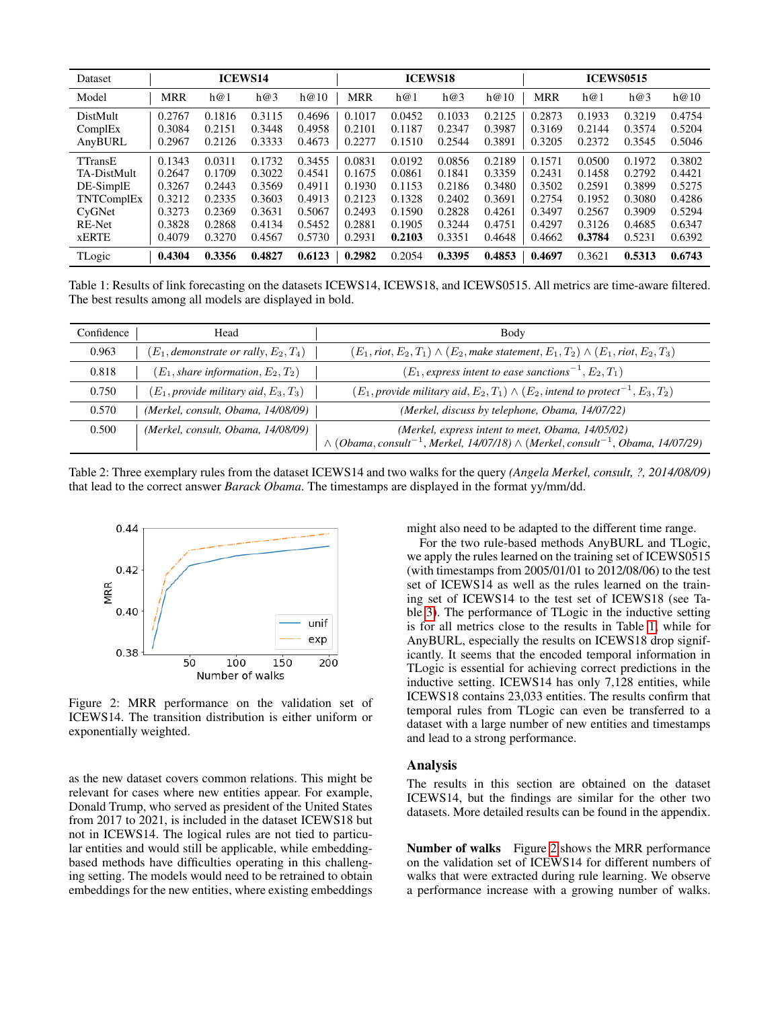<span id="page-5-0"></span>

| Dataset                                                                                             |                                                                    |                                                                    | <b>ICEWS14</b>                                                     |                                                                    |                                                                    |                                                                    | <b>ICEWS18</b>                                                     |                                                                    |                                                                    |                                                                    | <b>ICEWS0515</b>                                                   |                                                                    |
|-----------------------------------------------------------------------------------------------------|--------------------------------------------------------------------|--------------------------------------------------------------------|--------------------------------------------------------------------|--------------------------------------------------------------------|--------------------------------------------------------------------|--------------------------------------------------------------------|--------------------------------------------------------------------|--------------------------------------------------------------------|--------------------------------------------------------------------|--------------------------------------------------------------------|--------------------------------------------------------------------|--------------------------------------------------------------------|
| Model                                                                                               | MRR                                                                | h@1                                                                | h@3                                                                | h@10                                                               | <b>MRR</b>                                                         | h@1                                                                | h@3                                                                | h@10                                                               | <b>MRR</b>                                                         | h@1                                                                | h@3                                                                | h@10                                                               |
| DistMult<br>ComplEx<br>AnyBURL                                                                      | 0.2767<br>0.3084<br>0.2967                                         | 0.1816<br>0.2151<br>0.2126                                         | 0.3115<br>0.3448<br>0.3333                                         | 0.4696<br>0.4958<br>0.4673                                         | 0.1017<br>0.2101<br>0.2277                                         | 0.0452<br>0.1187<br>0.1510                                         | 0.1033<br>0.2347<br>0.2544                                         | 0.2125<br>0.3987<br>0.3891                                         | 0.2873<br>0.3169<br>0.3205                                         | 0.1933<br>0.2144<br>0.2372                                         | 0.3219<br>0.3574<br>0.3545                                         | 0.4754<br>0.5204<br>0.5046                                         |
| <b>TTransE</b><br>TA-DistMult<br>DE-SimplE<br>TNTComplEx<br>CyGNet<br><b>RE-Net</b><br><b>xERTE</b> | 0.1343<br>0.2647<br>0.3267<br>0.3212<br>0.3273<br>0.3828<br>0.4079 | 0.0311<br>0.1709<br>0.2443<br>0.2335<br>0.2369<br>0.2868<br>0.3270 | 0.1732<br>0.3022<br>0.3569<br>0.3603<br>0.3631<br>0.4134<br>0.4567 | 0.3455<br>0.4541<br>0.4911<br>0.4913<br>0.5067<br>0.5452<br>0.5730 | 0.0831<br>0.1675<br>0.1930<br>0.2123<br>0.2493<br>0.2881<br>0.2931 | 0.0192<br>0.0861<br>0.1153<br>0.1328<br>0.1590<br>0.1905<br>0.2103 | 0.0856<br>0.1841<br>0.2186<br>0.2402<br>0.2828<br>0.3244<br>0.3351 | 0.2189<br>0.3359<br>0.3480<br>0.3691<br>0.4261<br>0.4751<br>0.4648 | 0.1571<br>0.2431<br>0.3502<br>0.2754<br>0.3497<br>0.4297<br>0.4662 | 0.0500<br>0.1458<br>0.2591<br>0.1952<br>0.2567<br>0.3126<br>0.3784 | 0.1972<br>0.2792<br>0.3899<br>0.3080<br>0.3909<br>0.4685<br>0.5231 | 0.3802<br>0.4421<br>0.5275<br>0.4286<br>0.5294<br>0.6347<br>0.6392 |
| TLogic                                                                                              | 0.4304                                                             | 0.3356                                                             | 0.4827                                                             | 0.6123                                                             | 0.2982                                                             | 0.2054                                                             | 0.3395                                                             | 0.4853                                                             | 0.4697                                                             | 0.3621                                                             | 0.5313                                                             | 0.6743                                                             |

Table 1: Results of link forecasting on the datasets ICEWS14, ICEWS18, and ICEWS0515. All metrics are time-aware filtered. The best results among all models are displayed in bold.

<span id="page-5-1"></span>

| Confidence | Head                                       | Body                                                                                                                                                                       |
|------------|--------------------------------------------|----------------------------------------------------------------------------------------------------------------------------------------------------------------------------|
| 0.963      | $(E_1,$ demonstrate or rally, $E_2, T_4$ ) | $(E_1, \text{riot}, E_2, T_1) \wedge (E_2, \text{make statement}, E_1, T_2) \wedge (E_1, \text{riot}, E_2, T_3)$                                                           |
| 0.818      | $(E_1, share\ information, E_2, T_2)$      | $(E_1,$ express intent to ease sanctions <sup><math>-1</math></sup> , $E_2$ , $T_1$ )                                                                                      |
| 0.750      | $(E_1, provide military aid, E_3, T_3)$    | $(E_1, provide$ military aid, $E_2, T_1) \wedge (E_2,$ intend to protect <sup>-1</sup> , $E_3, T_2)$                                                                       |
| 0.570      | (Merkel, consult, Obama, 14/08/09)         | (Merkel, discuss by telephone, Obama, 14/07/22)                                                                                                                            |
| 0.500      | (Merkel, consult, Obama, 14/08/09)         | (Merkel, express intent to meet, Obama, 14/05/02)<br>$\wedge$ (Obama, consult <sup>-1</sup> , Merkel, 14/07/18) $\wedge$ (Merkel, consult <sup>-1</sup> , Obama, 14/07/29) |

Table 2: Three exemplary rules from the dataset ICEWS14 and two walks for the query *(Angela Merkel, consult, ?, 2014/08/09)* that lead to the correct answer *Barack Obama*. The timestamps are displayed in the format yy/mm/dd.

<span id="page-5-2"></span>

Figure 2: MRR performance on the validation set of ICEWS14. The transition distribution is either uniform or exponentially weighted.

as the new dataset covers common relations. This might be relevant for cases where new entities appear. For example, Donald Trump, who served as president of the United States from 2017 to 2021, is included in the dataset ICEWS18 but not in ICEWS14. The logical rules are not tied to particular entities and would still be applicable, while embeddingbased methods have difficulties operating in this challenging setting. The models would need to be retrained to obtain embeddings for the new entities, where existing embeddings might also need to be adapted to the different time range.

For the two rule-based methods AnyBURL and TLogic, we apply the rules learned on the training set of ICEWS0515 (with timestamps from 2005/01/01 to 2012/08/06) to the test set of ICEWS14 as well as the rules learned on the training set of ICEWS14 to the test set of ICEWS18 (see Table [3\)](#page-6-0). The performance of TLogic in the inductive setting is for all metrics close to the results in Table [1,](#page-5-0) while for AnyBURL, especially the results on ICEWS18 drop significantly. It seems that the encoded temporal information in TLogic is essential for achieving correct predictions in the inductive setting. ICEWS14 has only 7,128 entities, while ICEWS18 contains 23,033 entities. The results confirm that temporal rules from TLogic can even be transferred to a dataset with a large number of new entities and timestamps and lead to a strong performance.

## Analysis

The results in this section are obtained on the dataset ICEWS14, but the findings are similar for the other two datasets. More detailed results can be found in the appendix.

Number of walks Figure [2](#page-5-2) shows the MRR performance on the validation set of ICEWS14 for different numbers of walks that were extracted during rule learning. We observe a performance increase with a growing number of walks.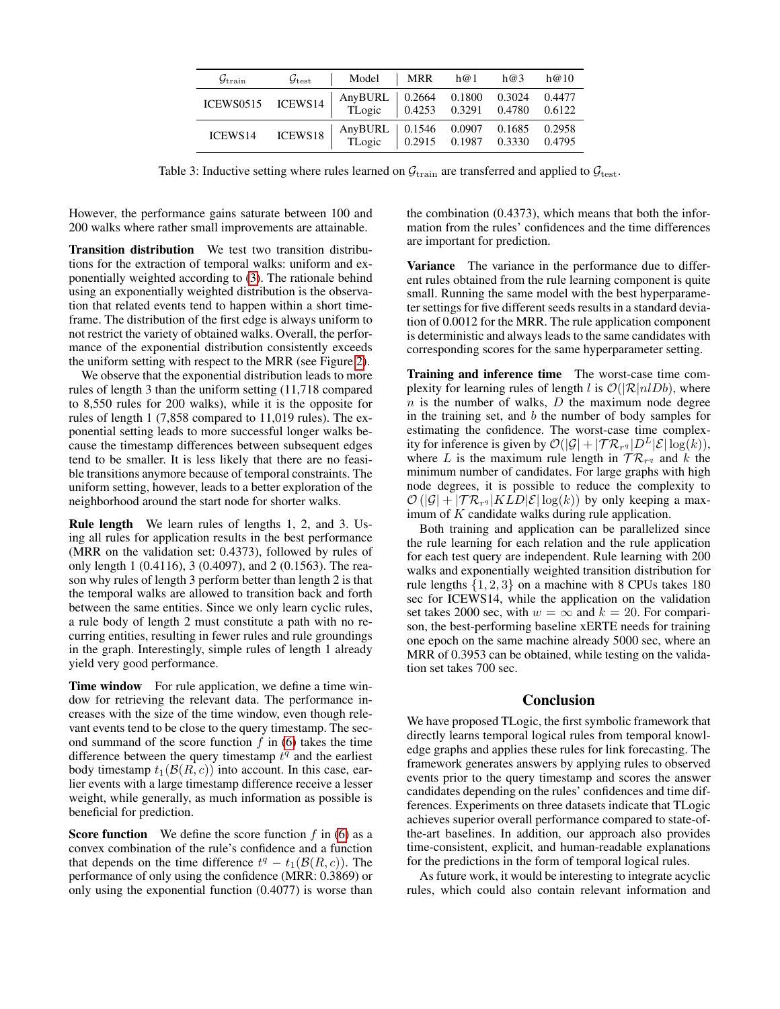<span id="page-6-0"></span>

| $\mathcal{G}_{\text{train}}$ | $\mathcal{G}_{\text{test}}$ | Model   MRR h@1 h@3                                                         |  | h@10   |
|------------------------------|-----------------------------|-----------------------------------------------------------------------------|--|--------|
| ICEWS0515 ICEWS14            |                             | AnyBURL   0.2664 0.1800 0.3024 0.4477<br>TLogic 0.4253 0.3291 0.4780 0.6122 |  |        |
| ICEWS14                      | ICEWS18                     | AnyBURL   0.1546 0.0907 0.1685 0.2958<br>TLogic   0.2915 0.1987 0.3330      |  | 0.4795 |

Table 3: Inductive setting where rules learned on  $\mathcal{G}_{\text{train}}$  are transferred and applied to  $\mathcal{G}_{\text{test}}$ .

However, the performance gains saturate between 100 and 200 walks where rather small improvements are attainable.

Transition distribution We test two transition distributions for the extraction of temporal walks: uniform and exponentially weighted according to [\(3\)](#page-3-4). The rationale behind using an exponentially weighted distribution is the observation that related events tend to happen within a short timeframe. The distribution of the first edge is always uniform to not restrict the variety of obtained walks. Overall, the performance of the exponential distribution consistently exceeds the uniform setting with respect to the MRR (see Figure [2\)](#page-5-2).

We observe that the exponential distribution leads to more rules of length 3 than the uniform setting (11,718 compared to 8,550 rules for 200 walks), while it is the opposite for rules of length 1 (7,858 compared to 11,019 rules). The exponential setting leads to more successful longer walks because the timestamp differences between subsequent edges tend to be smaller. It is less likely that there are no feasible transitions anymore because of temporal constraints. The uniform setting, however, leads to a better exploration of the neighborhood around the start node for shorter walks.

Rule length We learn rules of lengths 1, 2, and 3. Using all rules for application results in the best performance (MRR on the validation set: 0.4373), followed by rules of only length 1 (0.4116), 3 (0.4097), and 2 (0.1563). The reason why rules of length 3 perform better than length 2 is that the temporal walks are allowed to transition back and forth between the same entities. Since we only learn cyclic rules, a rule body of length 2 must constitute a path with no recurring entities, resulting in fewer rules and rule groundings in the graph. Interestingly, simple rules of length 1 already yield very good performance.

Time window For rule application, we define a time window for retrieving the relevant data. The performance increases with the size of the time window, even though relevant events tend to be close to the query timestamp. The second summand of the score function  $f$  in [\(6\)](#page-3-3) takes the time difference between the query timestamp  $t<sup>q</sup>$  and the earliest body timestamp  $t_1(\mathcal{B}(R, c))$  into account. In this case, earlier events with a large timestamp difference receive a lesser weight, while generally, as much information as possible is beneficial for prediction.

**Score function** We define the score function  $f$  in [\(6\)](#page-3-3) as a convex combination of the rule's confidence and a function that depends on the time difference  $t^q - t_1(\mathcal{B}(R, c))$ . The performance of only using the confidence (MRR: 0.3869) or only using the exponential function (0.4077) is worse than

the combination (0.4373), which means that both the information from the rules' confidences and the time differences are important for prediction.

Variance The variance in the performance due to different rules obtained from the rule learning component is quite small. Running the same model with the best hyperparameter settings for five different seeds results in a standard deviation of 0.0012 for the MRR. The rule application component is deterministic and always leads to the same candidates with corresponding scores for the same hyperparameter setting.

Training and inference time The worst-case time complexity for learning rules of length l is  $\mathcal{O}(|\mathcal{R}|nlDb)$ , where  $n$  is the number of walks,  $D$  the maximum node degree in the training set, and  $b$  the number of body samples for estimating the confidence. The worst-case time complexity for inference is given by  $\mathcal{O}(|\mathcal{G}| + |\mathcal{TR}_{r^q}|D^L|\mathcal{E}|\log(k)),$ where L is the maximum rule length in  $TR_{r^q}$  and k the minimum number of candidates. For large graphs with high node degrees, it is possible to reduce the complexity to  $\mathcal{O}(|\mathcal{G}| + |\mathcal{TR}_{r^q}|KLD|\mathcal{E}|\log(k))$  by only keeping a maximum of K candidate walks during rule application.

Both training and application can be parallelized since the rule learning for each relation and the rule application for each test query are independent. Rule learning with 200 walks and exponentially weighted transition distribution for rule lengths  $\{1, 2, 3\}$  on a machine with 8 CPUs takes 180 sec for ICEWS14, while the application on the validation set takes 2000 sec, with  $w = \infty$  and  $k = 20$ . For comparison, the best-performing baseline xERTE needs for training one epoch on the same machine already 5000 sec, where an MRR of 0.3953 can be obtained, while testing on the validation set takes 700 sec.

# Conclusion

We have proposed TLogic, the first symbolic framework that directly learns temporal logical rules from temporal knowledge graphs and applies these rules for link forecasting. The framework generates answers by applying rules to observed events prior to the query timestamp and scores the answer candidates depending on the rules' confidences and time differences. Experiments on three datasets indicate that TLogic achieves superior overall performance compared to state-ofthe-art baselines. In addition, our approach also provides time-consistent, explicit, and human-readable explanations for the predictions in the form of temporal logical rules.

As future work, it would be interesting to integrate acyclic rules, which could also contain relevant information and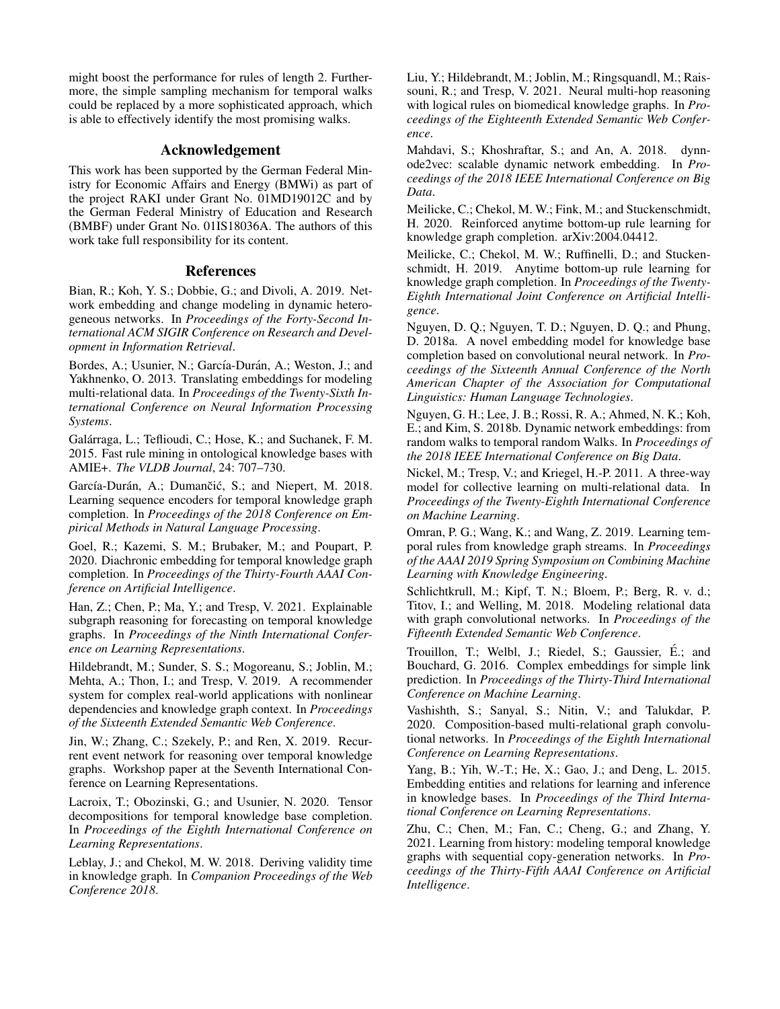might boost the performance for rules of length 2. Furthermore, the simple sampling mechanism for temporal walks could be replaced by a more sophisticated approach, which is able to effectively identify the most promising walks.

# Acknowledgement

This work has been supported by the German Federal Ministry for Economic Affairs and Energy (BMWi) as part of the project RAKI under Grant No. 01MD19012C and by the German Federal Ministry of Education and Research (BMBF) under Grant No. 01IS18036A. The authors of this work take full responsibility for its content.

# References

<span id="page-7-20"></span>Bian, R.; Koh, Y. S.; Dobbie, G.; and Divoli, A. 2019. Network embedding and change modeling in dynamic heterogeneous networks. In *Proceedings of the Forty-Second International ACM SIGIR Conference on Research and Development in Information Retrieval*.

<span id="page-7-7"></span>Bordes, A.; Usunier, N.; García-Durán, A.; Weston, J.; and Yakhnenko, O. 2013. Translating embeddings for modeling multi-relational data. In *Proceedings of the Twenty-Sixth International Conference on Neural Information Processing Systems*.

<span id="page-7-16"></span>Galárraga, L.; Teflioudi, C.; Hose, K.; and Suchanek, F. M. 2015. Fast rule mining in ontological knowledge bases with AMIE+. *The VLDB Journal*, 24: 707–730.

<span id="page-7-12"></span>García-Durán, A.; Dumančić, S.; and Niepert, M. 2018. Learning sequence encoders for temporal knowledge graph completion. In *Proceedings of the 2018 Conference on Empirical Methods in Natural Language Processing*.

<span id="page-7-13"></span>Goel, R.; Kazemi, S. M.; Brubaker, M.; and Poupart, P. 2020. Diachronic embedding for temporal knowledge graph completion. In *Proceedings of the Thirty-Fourth AAAI Conference on Artificial Intelligence*.

<span id="page-7-15"></span>Han, Z.; Chen, P.; Ma, Y.; and Tresp, V. 2021. Explainable subgraph reasoning for forecasting on temporal knowledge graphs. In *Proceedings of the Ninth International Conference on Learning Representations*.

<span id="page-7-0"></span>Hildebrandt, M.; Sunder, S. S.; Mogoreanu, S.; Joblin, M.; Mehta, A.; Thon, I.; and Tresp, V. 2019. A recommender system for complex real-world applications with nonlinear dependencies and knowledge graph context. In *Proceedings of the Sixteenth Extended Semantic Web Conference*.

<span id="page-7-5"></span>Jin, W.; Zhang, C.; Szekely, P.; and Ren, X. 2019. Recurrent event network for reasoning over temporal knowledge graphs. Workshop paper at the Seventh International Conference on Learning Representations.

<span id="page-7-4"></span>Lacroix, T.; Obozinski, G.; and Usunier, N. 2020. Tensor decompositions for temporal knowledge base completion. In *Proceedings of the Eighth International Conference on Learning Representations*.

<span id="page-7-3"></span>Leblay, J.; and Chekol, M. W. 2018. Deriving validity time in knowledge graph. In *Companion Proceedings of the Web Conference 2018*.

<span id="page-7-2"></span>Liu, Y.; Hildebrandt, M.; Joblin, M.; Ringsquandl, M.; Raissouni, R.; and Tresp, V. 2021. Neural multi-hop reasoning with logical rules on biomedical knowledge graphs. In *Proceedings of the Eighteenth Extended Semantic Web Conference*.

<span id="page-7-19"></span>Mahdavi, S.; Khoshraftar, S.; and An, A. 2018. dynnode2vec: scalable dynamic network embedding. In *Proceedings of the 2018 IEEE International Conference on Big Data*.

<span id="page-7-22"></span>Meilicke, C.; Chekol, M. W.; Fink, M.; and Stuckenschmidt, H. 2020. Reinforced anytime bottom-up rule learning for knowledge graph completion. arXiv:2004.04412.

<span id="page-7-17"></span>Meilicke, C.; Chekol, M. W.; Ruffinelli, D.; and Stuckenschmidt, H. 2019. Anytime bottom-up rule learning for knowledge graph completion. In *Proceedings of the Twenty-Eighth International Joint Conference on Artificial Intelligence*.

<span id="page-7-1"></span>Nguyen, D. Q.; Nguyen, T. D.; Nguyen, D. Q.; and Phung, D. 2018a. A novel embedding model for knowledge base completion based on convolutional neural network. In *Proceedings of the Sixteenth Annual Conference of the North American Chapter of the Association for Computational Linguistics: Human Language Technologies*.

<span id="page-7-21"></span>Nguyen, G. H.; Lee, J. B.; Rossi, R. A.; Ahmed, N. K.; Koh, E.; and Kim, S. 2018b. Dynamic network embeddings: from random walks to temporal random Walks. In *Proceedings of the 2018 IEEE International Conference on Big Data*.

<span id="page-7-6"></span>Nickel, M.; Tresp, V.; and Kriegel, H.-P. 2011. A three-way model for collective learning on multi-relational data. In *Proceedings of the Twenty-Eighth International Conference on Machine Learning*.

<span id="page-7-18"></span>Omran, P. G.; Wang, K.; and Wang, Z. 2019. Learning temporal rules from knowledge graph streams. In *Proceedings of the AAAI 2019 Spring Symposium on Combining Machine Learning with Knowledge Engineering*.

<span id="page-7-10"></span>Schlichtkrull, M.; Kipf, T. N.; Bloem, P.; Berg, R. v. d.; Titov, I.; and Welling, M. 2018. Modeling relational data with graph convolutional networks. In *Proceedings of the Fifteenth Extended Semantic Web Conference*.

<span id="page-7-9"></span>Trouillon, T.; Welbl, J.; Riedel, S.; Gaussier, E.; and ´ Bouchard, G. 2016. Complex embeddings for simple link prediction. In *Proceedings of the Thirty-Third International Conference on Machine Learning*.

<span id="page-7-11"></span>Vashishth, S.; Sanyal, S.; Nitin, V.; and Talukdar, P. 2020. Composition-based multi-relational graph convolutional networks. In *Proceedings of the Eighth International Conference on Learning Representations*.

<span id="page-7-8"></span>Yang, B.; Yih, W.-T.; He, X.; Gao, J.; and Deng, L. 2015. Embedding entities and relations for learning and inference in knowledge bases. In *Proceedings of the Third International Conference on Learning Representations*.

<span id="page-7-14"></span>Zhu, C.; Chen, M.; Fan, C.; Cheng, G.; and Zhang, Y. 2021. Learning from history: modeling temporal knowledge graphs with sequential copy-generation networks. In *Proceedings of the Thirty-Fifth AAAI Conference on Artificial Intelligence*.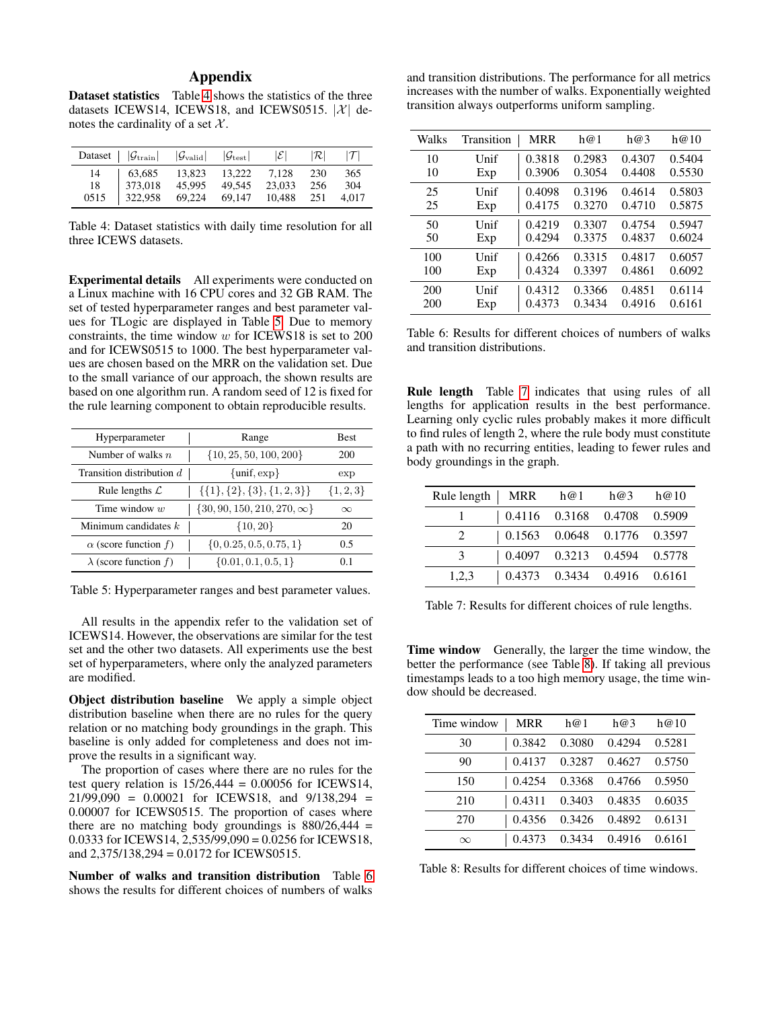# Appendix

Dataset statistics Table [4](#page-8-0) shows the statistics of the three datasets ICEWS14, ICEWS18, and ICEWS0515.  $|\mathcal{X}|$  denotes the cardinality of a set  $X$ .

<span id="page-8-0"></span>

|                  | Dataset $ \mathcal{G}_{\text{train}} $ $ \mathcal{G}_{\text{valid}} $ $ \mathcal{G}_{\text{test}} $ |                  |                                   | $ \mathcal{E} $           | $ \mathcal{R} $   |                     |
|------------------|-----------------------------------------------------------------------------------------------------|------------------|-----------------------------------|---------------------------|-------------------|---------------------|
| 14<br>18<br>0515 | 63,685<br>373,018<br>322,958                                                                        | 45.995<br>69,224 | 13,823 13,222<br>49.545<br>69,147 | 7.128<br>23,033<br>10,488 | 230<br>256<br>251 | 365<br>304<br>4.017 |

Table 4: Dataset statistics with daily time resolution for all three ICEWS datasets.

Experimental details All experiments were conducted on a Linux machine with 16 CPU cores and 32 GB RAM. The set of tested hyperparameter ranges and best parameter values for TLogic are displayed in Table [5.](#page-8-1) Due to memory constraints, the time window  $w$  for ICEWS18 is set to 200 and for ICEWS0515 to 1000. The best hyperparameter values are chosen based on the MRR on the validation set. Due to the small variance of our approach, the shown results are based on one algorithm run. A random seed of 12 is fixed for the rule learning component to obtain reproducible results.

<span id="page-8-1"></span>

| Hyperparameter               | Range                               | <b>Best</b>   |
|------------------------------|-------------------------------------|---------------|
| Number of walks $n$          | $\{10, 25, 50, 100, 200\}$          | 200           |
| Transition distribution $d$  | $\{\text{unif}, \text{exp}\}\$      | exp           |
| Rule lengths $\mathcal L$    | $\{\{1\},\{2\},\{3\},\{1,2,3\}\}\$  | $\{1, 2, 3\}$ |
| Time window $w$              | $\{30, 90, 150, 210, 270, \infty\}$ | $\infty$      |
| Minimum candidates $k$       | $\{10, 20\}$                        | 20            |
| $\alpha$ (score function f)  | $\{0, 0.25, 0.5, 0.75, 1\}$         | 0.5           |
| $\lambda$ (score function f) | $\{0.01, 0.1, 0.5, 1\}$             | 01            |

Table 5: Hyperparameter ranges and best parameter values.

All results in the appendix refer to the validation set of ICEWS14. However, the observations are similar for the test set and the other two datasets. All experiments use the best set of hyperparameters, where only the analyzed parameters are modified.

Object distribution baseline We apply a simple object distribution baseline when there are no rules for the query relation or no matching body groundings in the graph. This baseline is only added for completeness and does not improve the results in a significant way.

The proportion of cases where there are no rules for the test query relation is  $15/26,444 = 0.00056$  for ICEWS14,  $21/99,090 = 0.00021$  for ICEWS18, and  $9/138,294 =$ 0.00007 for ICEWS0515. The proportion of cases where there are no matching body groundings is  $880/26,444 =$ 0.0333 for ICEWS14,  $2,535/99,090 = 0.0256$  for ICEWS18, and 2,375/138,294 = 0.0172 for ICEWS0515.

Number of walks and transition distribution Table [6](#page-8-2) shows the results for different choices of numbers of walks

and transition distributions. The performance for all metrics increases with the number of walks. Exponentially weighted transition always outperforms uniform sampling.

<span id="page-8-2"></span>

| Walks | Transition | <b>MRR</b> | h@1    | h@3    | h@10   |
|-------|------------|------------|--------|--------|--------|
| 10    | Unif       | 0.3818     | 0.2983 | 0.4307 | 0.5404 |
| 10    | Exp        | 0.3906     | 0.3054 | 0.4408 | 0.5530 |
| 25    | Unif       | 0.4098     | 0.3196 | 0.4614 | 0.5803 |
| 25    | Exp        | 0.4175     | 0.3270 | 0.4710 | 0.5875 |
| 50    | Unif       | 0.4219     | 0.3307 | 0.4754 | 0.5947 |
| 50    | Exp        | 0.4294     | 0.3375 | 0.4837 | 0.6024 |
| 100   | Unif       | 0.4266     | 0.3315 | 0.4817 | 0.6057 |
| 100   | Exp        | 0.4324     | 0.3397 | 0.4861 | 0.6092 |
| 200   | Unif       | 0.4312     | 0.3366 | 0.4851 | 0.6114 |
| 200   | Exp        | 0.4373     | 0.3434 | 0.4916 | 0.6161 |

Table 6: Results for different choices of numbers of walks and transition distributions.

Rule length Table [7](#page-8-3) indicates that using rules of all lengths for application results in the best performance. Learning only cyclic rules probably makes it more difficult to find rules of length 2, where the rule body must constitute a path with no recurring entities, leading to fewer rules and body groundings in the graph.

<span id="page-8-3"></span>

| Rule length   MRR h@1 h@3 h@10 |                                     |  |  |
|--------------------------------|-------------------------------------|--|--|
|                                | $\vert$ 0.4116 0.3168 0.4708 0.5909 |  |  |
| $2^{\circ}$                    | $\vert$ 0.1563 0.0648 0.1776 0.3597 |  |  |
| $\mathcal{E}$                  | $\vert$ 0.4097 0.3213 0.4594 0.5778 |  |  |
| 1,2,3                          | $\vert$ 0.4373 0.3434 0.4916 0.6161 |  |  |

Table 7: Results for different choices of rule lengths.

Time window Generally, the larger the time window, the better the performance (see Table [8\)](#page-8-4). If taking all previous timestamps leads to a too high memory usage, the time window should be decreased.

<span id="page-8-4"></span>

| Time window | MRR    | h@1    | h@3    | h@10   |
|-------------|--------|--------|--------|--------|
| 30          | 0.3842 | 0.3080 | 0.4294 | 0.5281 |
| 90          | 0.4137 | 0.3287 | 0.4627 | 0.5750 |
| 150         | 0.4254 | 0.3368 | 0.4766 | 0.5950 |
| 210         | 0.4311 | 0.3403 | 0.4835 | 0.6035 |
| 270         | 0.4356 | 0.3426 | 0.4892 | 0.6131 |
| $\infty$    | 0.4373 | 0.3434 | 0.4916 | 0.6161 |

Table 8: Results for different choices of time windows.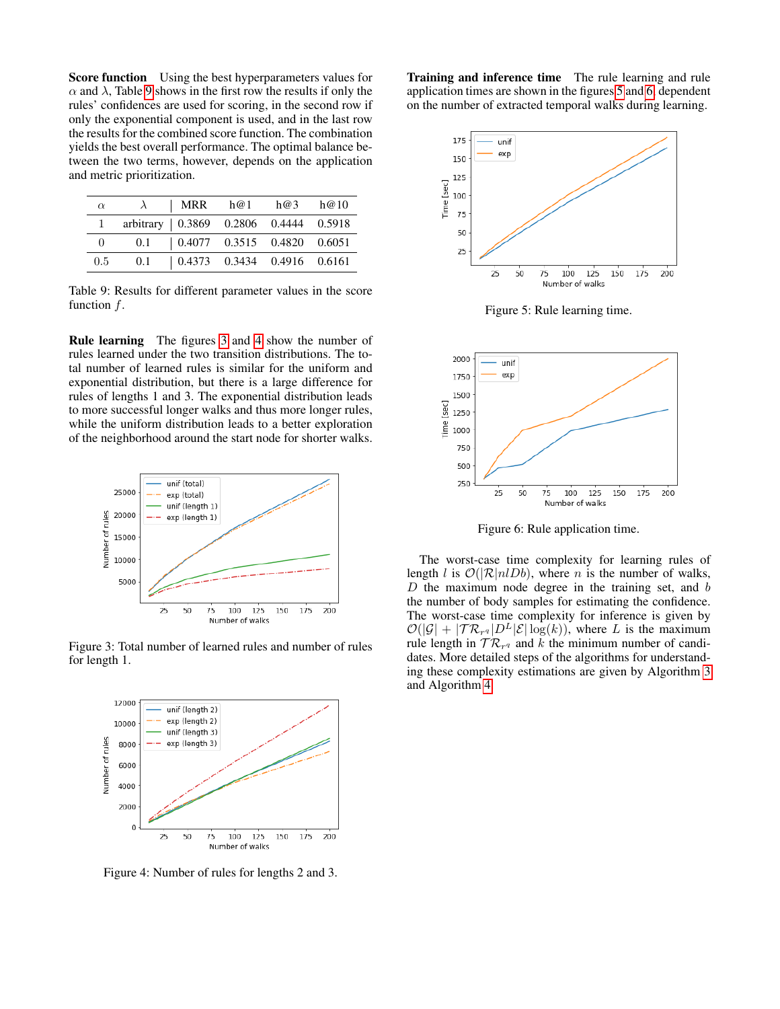Score function Using the best hyperparameters values for  $\alpha$  and  $\lambda$ , Table [9](#page-9-0) shows in the first row the results if only the rules' confidences are used for scoring, in the second row if only the exponential component is used, and in the last row the results for the combined score function. The combination yields the best overall performance. The optimal balance between the two terms, however, depends on the application and metric prioritization.

<span id="page-9-0"></span>

| $\alpha$      |                                            |  | $\lambda$   MRR h@1 h@3 h@10        |  |
|---------------|--------------------------------------------|--|-------------------------------------|--|
|               | arbitrary   0.3869  0.2806  0.4444  0.5918 |  |                                     |  |
| $\theta$      |                                            |  | $0.1$   0.4077 0.3515 0.4820 0.6051 |  |
| $0.5^{\circ}$ |                                            |  | $0.1$   0.4373 0.3434 0.4916 0.6161 |  |

Table 9: Results for different parameter values in the score function f.

Rule learning The figures [3](#page-9-1) and [4](#page-9-2) show the number of rules learned under the two transition distributions. The total number of learned rules is similar for the uniform and exponential distribution, but there is a large difference for rules of lengths 1 and 3. The exponential distribution leads to more successful longer walks and thus more longer rules, while the uniform distribution leads to a better exploration of the neighborhood around the start node for shorter walks.

<span id="page-9-1"></span>

Figure 3: Total number of learned rules and number of rules for length 1.

<span id="page-9-2"></span>

Figure 4: Number of rules for lengths 2 and 3.

Training and inference time The rule learning and rule application times are shown in the figures [5](#page-9-3) and [6,](#page-9-4) dependent on the number of extracted temporal walks during learning.

<span id="page-9-3"></span>

Figure 5: Rule learning time.

<span id="page-9-4"></span>

Figure 6: Rule application time.

The worst-case time complexity for learning rules of length l is  $O(|\mathcal{R}|n|Db)$ , where n is the number of walks,  $D$  the maximum node degree in the training set, and  $b$ the number of body samples for estimating the confidence. The worst-case time complexity for inference is given by  $\mathcal{O}(|\mathcal{G}| + |\mathcal{TR}_{r^q}|D^L|\mathcal{E}|\log(k)),$  where L is the maximum rule length in  $TR_{r^q}$  and k the minimum number of candidates. More detailed steps of the algorithms for understanding these complexity estimations are given by Algorithm [3](#page-10-0) and Algorithm [4.](#page-11-0)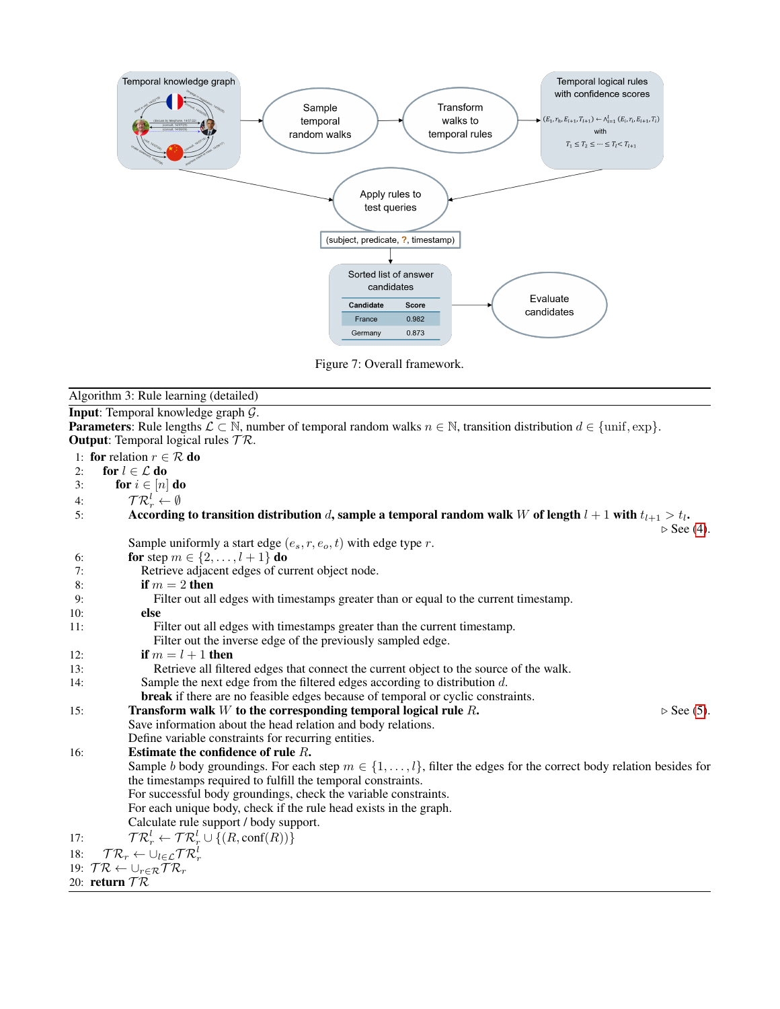

Figure 7: Overall framework.

<span id="page-10-0"></span>

|                 | Algorithm 3: Rule learning (detailed)                                                                                                                                                  |
|-----------------|----------------------------------------------------------------------------------------------------------------------------------------------------------------------------------------|
|                 | <b>Input:</b> Temporal knowledge graph $\mathcal{G}$ .                                                                                                                                 |
|                 | <b>Parameters:</b> Rule lengths $\mathcal{L} \subset \mathbb{N}$ , number of temporal random walks $n \in \mathbb{N}$ , transition distribution $d \in \{\text{unif}, \text{exp}\}\$ . |
|                 | <b>Output:</b> Temporal logical rules $TR$ .                                                                                                                                           |
|                 | 1: for relation $r \in \mathcal{R}$ do                                                                                                                                                 |
| 2:              | for $l \in \mathcal{L}$ do                                                                                                                                                             |
| 3:              | for $i \in [n]$ do                                                                                                                                                                     |
| 4:              | $\mathcal{T} \mathcal{R}_r^l \leftarrow \emptyset$                                                                                                                                     |
| 5:              | According to transition distribution d, sample a temporal random walk W of length $l + 1$ with $t_{l+1} > t_l$ .<br>$\triangleright$ See (4).                                          |
|                 | Sample uniformly a start edge $(e_s, r, e_o, t)$ with edge type r.                                                                                                                     |
| 6:              | <b>for</b> step $m \in \{2, , l + 1\}$ <b>do</b>                                                                                                                                       |
| 7:              | Retrieve adjacent edges of current object node.                                                                                                                                        |
| 8:              | if $m = 2$ then                                                                                                                                                                        |
| 9:              | Filter out all edges with timestamps greater than or equal to the current timestamp.                                                                                                   |
| 10:             | else                                                                                                                                                                                   |
| 11:             | Filter out all edges with timestamps greater than the current timestamp.                                                                                                               |
|                 | Filter out the inverse edge of the previously sampled edge.                                                                                                                            |
| 12:             | if $m = l + 1$ then                                                                                                                                                                    |
| 13:             | Retrieve all filtered edges that connect the current object to the source of the walk.                                                                                                 |
| 14:             | Sample the next edge from the filtered edges according to distribution $d$ .                                                                                                           |
|                 | <b>break</b> if there are no feasible edges because of temporal or cyclic constraints.                                                                                                 |
| 15:             | Transform walk $W$ to the corresponding temporal logical rule $R$ .<br>$\triangleright$ See (5).                                                                                       |
|                 | Save information about the head relation and body relations.<br>Define variable constraints for recurring entities.                                                                    |
| 16:             | Estimate the confidence of rule $R$ .                                                                                                                                                  |
|                 | Sample b body groundings. For each step $m \in \{1, , l\}$ , filter the edges for the correct body relation besides for                                                                |
|                 | the timestamps required to fulfill the temporal constraints.                                                                                                                           |
|                 | For successful body groundings, check the variable constraints.                                                                                                                        |
|                 | For each unique body, check if the rule head exists in the graph.                                                                                                                      |
|                 | Calculate rule support / body support.                                                                                                                                                 |
| 17:             | $\mathcal{TR}_r^l \leftarrow \mathcal{TR}_r^l \cup \{(R,\text{conf}(R))\}$                                                                                                             |
| 18:             | $TR_r \leftarrow \cup_{l \in \mathcal{L}} TR_r^l$                                                                                                                                      |
|                 | 19: $TR \leftarrow \bigcup_{r \in \mathcal{R}} TR_r$                                                                                                                                   |
| 20: return $TR$ |                                                                                                                                                                                        |
|                 |                                                                                                                                                                                        |